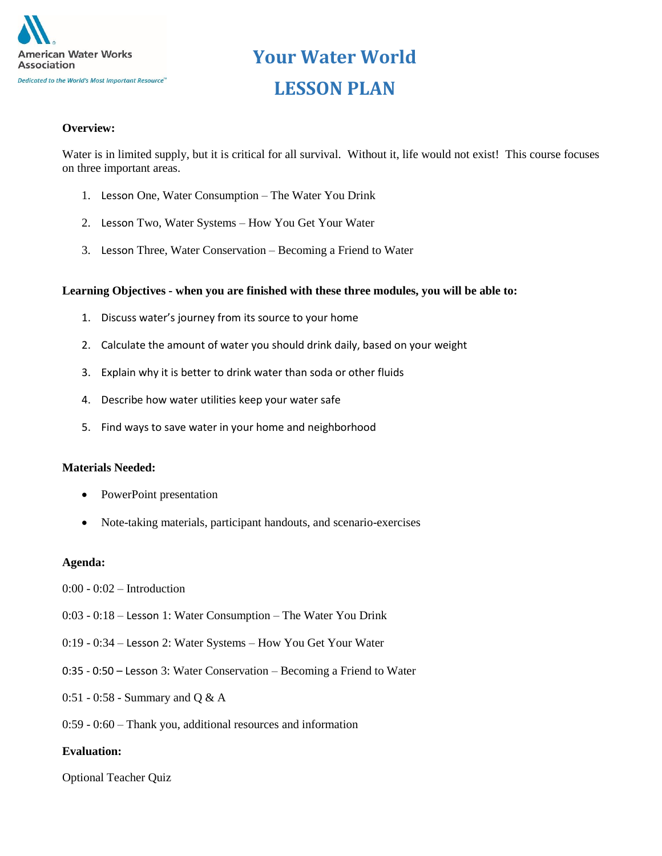

# **Your Water World LESSON PLAN**

#### **Overview:**

Water is in limited supply, but it is critical for all survival. Without it, life would not exist! This course focuses on three important areas.

- 1. Lesson One, Water Consumption The Water You Drink
- 2. Lesson Two, Water Systems How You Get Your Water
- 3. Lesson Three, Water Conservation Becoming a Friend to Water

#### **Learning Objectives - when you are finished with these three modules, you will be able to:**

- 1. Discuss water's journey from its source to your home
- 2. Calculate the amount of water you should drink daily, based on your weight
- 3. Explain why it is better to drink water than soda or other fluids
- 4. Describe how water utilities keep your water safe
- 5. Find ways to save water in your home and neighborhood

#### **Materials Needed:**

- PowerPoint presentation
- Note-taking materials, participant handouts, and scenario-exercises

#### **Agenda:**

- $0:00 0:02$  Introduction
- 0:03 0:18 Lesson 1: Water Consumption The Water You Drink
- 0:19 0:34 Lesson 2: Water Systems How You Get Your Water
- 0:35 0:50 Lesson 3: Water Conservation Becoming a Friend to Water
- 0:51 0:58 Summary and Q & A
- 0:59 0:60 Thank you, additional resources and information

#### **Evaluation:**

Optional Teacher Quiz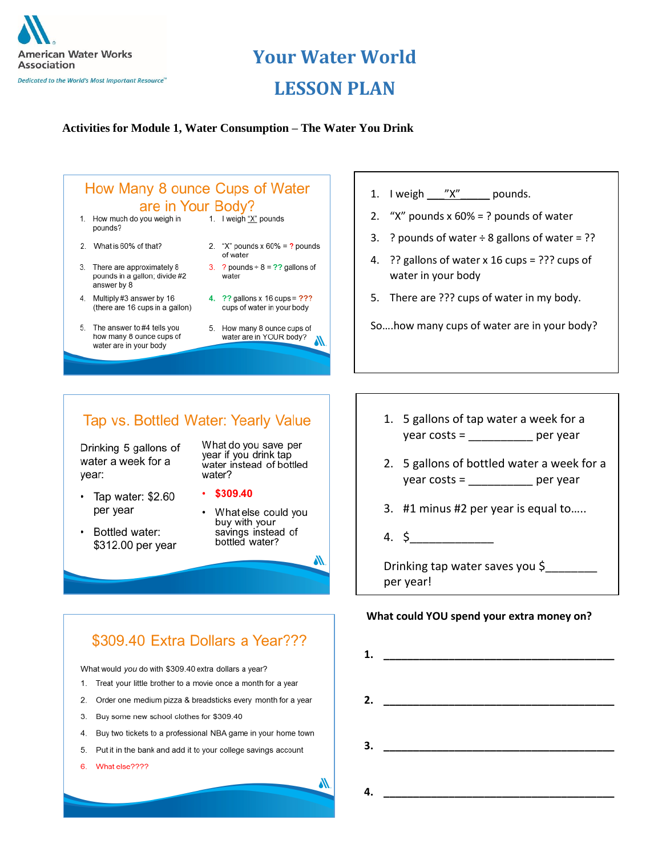

# **Your Water World**

### **LESSON PLAN**

#### **Activities for Module 1, Water Consumption – The Water You Drink**



- 3. There are approximately 8
- pounds in a gallon; divide #2 answer by 8
- 4. Multiply #3 answer by 16 (there are 16 cups in a gallon)
- 5. The answer to #4 tells you how many 8 ounce cups of water are in your body
- of water 3. ? pounds +  $8 = ?$ ? gallons of water
- 4. ?? gallons x 16 cups = ??? cups of water in your body
- 5. How many 8 ounce cups of water are in YOUR body? ₩
- 1. I weigh  $\frac{y}{x''}$  pounds.
- 2. "X" pounds  $x 60\% = ?$  pounds of water
- 3. ? pounds of water  $\div$  8 gallons of water = ??
- 4. ?? gallons of water x 16 cups = ??? cups of water in your body
- 5. There are ??? cups of water in my body.

So….how many cups of water are in your body?

### Tap vs. Bottled Water: Yearly Value

\$309.40 Extra Dollars a Year???

Buy two tickets to a professional NBA game in your home town

5. Put it in the bank and add it to your college savings account

What would you do with \$309.40 extra dollars a year? 1. Treat your little brother to a movie once a month for a year 2. Order one medium pizza & breadsticks every month for a year

Buy some new school clothes for \$309.40

Drinking 5 gallons of water a week for a year:

- Tap water: \$2.60 per year
- Bottled water: \$312.00 per year

3.

4.

6. What else????

What do you save per year if you drink tap water instead of bottled water?

- $.5309.40$
- What else could you buy with your savings instead of bottled water?

₩

₩

- 1. 5 gallons of tap water a week for a year costs = \_\_\_\_\_\_\_\_\_\_ per year
- 2. 5 gallons of bottled water a week for a year costs =  $\frac{1}{2}$  per year
- 3. #1 minus #2 per year is equal to…..
- 4. \$\_\_\_\_\_\_\_\_\_\_\_\_\_

Drinking tap water saves you \$\_\_\_\_\_\_\_\_ per year!

#### **What could YOU spend your extra money on?**

**1. \_\_\_\_\_\_\_\_\_\_\_\_\_\_\_\_\_\_\_\_\_\_\_\_\_\_\_\_\_\_\_\_\_\_\_\_\_\_\_ 2. \_\_\_\_\_\_\_\_\_\_\_\_\_\_\_\_\_\_\_\_\_\_\_\_\_\_\_\_\_\_\_\_\_\_\_\_\_\_\_ 3. \_\_\_\_\_\_\_\_\_\_\_\_\_\_\_\_\_\_\_\_\_\_\_\_\_\_\_\_\_\_\_\_\_\_\_\_\_\_\_ 4. \_\_\_\_\_\_\_\_\_\_\_\_\_\_\_\_\_\_\_\_\_\_\_\_\_\_\_\_\_\_\_\_\_\_\_\_\_\_\_**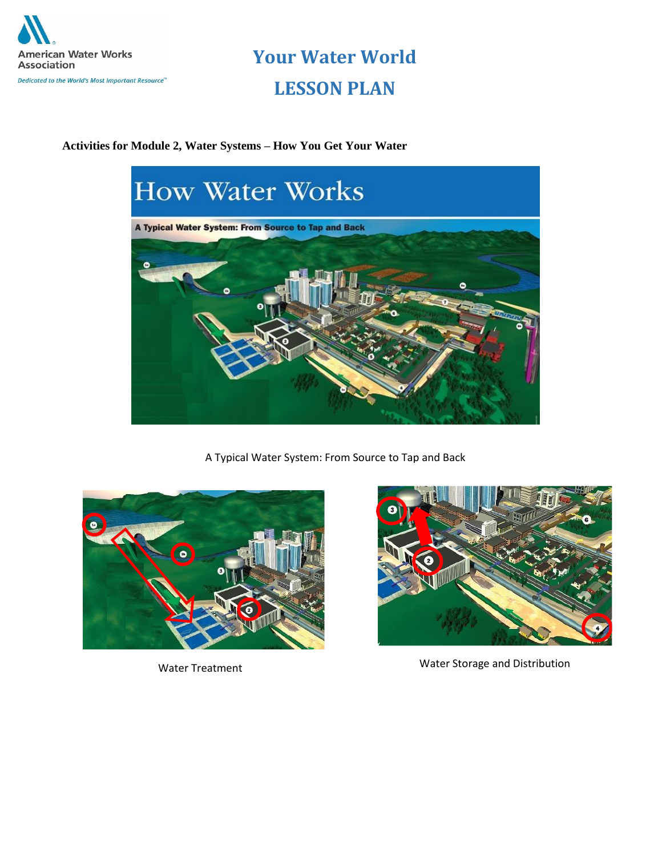

## **Your Water World LESSON PLAN**

#### **Activities for Module 2, Water Systems – How You Get Your Water**



A Typical Water System: From Source to Tap and Back





Water Treatment **Water Storage and Distribution**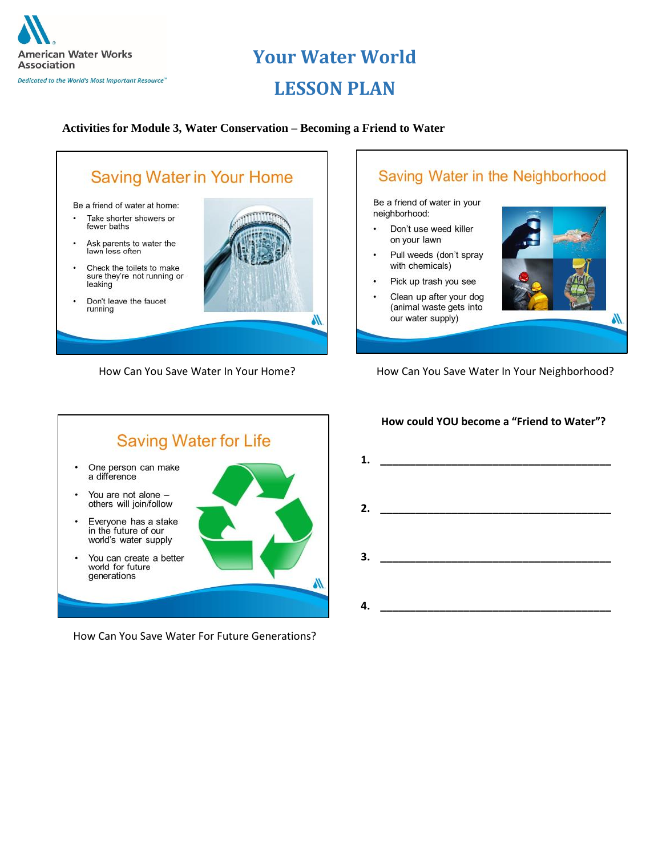

### **Your Water World**

### **LESSON PLAN**

#### **Activities for Module 3, Water Conservation – Becoming a Friend to Water**









How Can You Save Water For Future Generations?

#### **How could YOU become a "Friend to Water"?**